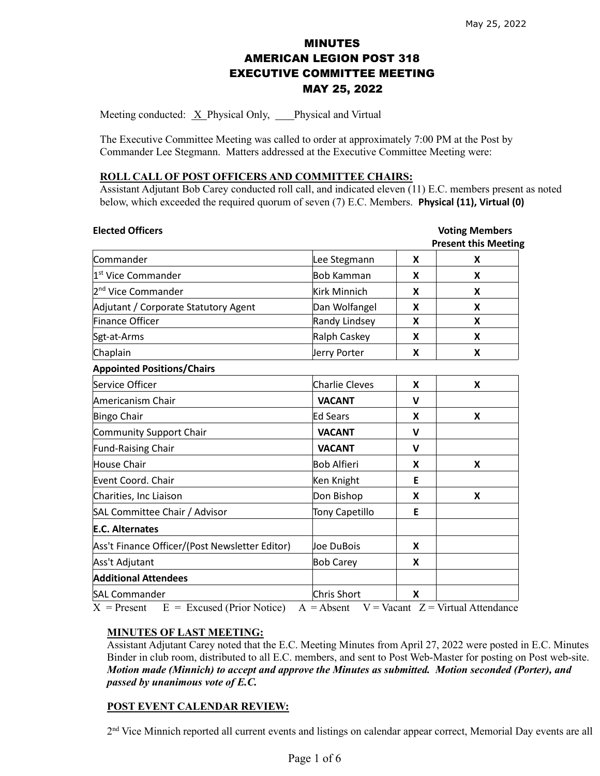# MINUTES AMERICAN LEGION POST 318 EXECUTIVE COMMITTEE MEETING MAY 25, 2022

Meeting conducted:  $X$  Physical Only, Physical and Virtual

The Executive Committee Meeting was called to order at approximately 7:00 PM at the Post by Commander Lee Stegmann. Matters addressed at the Executive Committee Meeting were:

#### **ROLL CALL OF POST OFFICERS AND COMMITTEE CHAIRS:**

Assistant Adjutant Bob Carey conducted roll call, and indicated eleven (11) E.C. members present as noted below, which exceeded the required quorum of seven (7) E.C. Members. **Physical (11), Virtual (0)**

| Lee Stegmann          | X           | <b>Present this Meeting</b> |
|-----------------------|-------------|-----------------------------|
|                       |             | X                           |
| <b>Bob Kamman</b>     | X           | X                           |
| <b>Kirk Minnich</b>   | X           | X                           |
| Dan Wolfangel         | X           | X                           |
| Randy Lindsey         | X           | X                           |
| Ralph Caskey          | X           | X                           |
| Jerry Porter          | X           | X                           |
|                       |             |                             |
| <b>Charlie Cleves</b> | X           | X                           |
| <b>VACANT</b>         | V           |                             |
| <b>Ed Sears</b>       | X           | X                           |
| <b>VACANT</b>         | V           |                             |
| <b>VACANT</b>         | $\mathbf v$ |                             |
| <b>Bob Alfieri</b>    | X           | X                           |
| Ken Knight            | E           |                             |
| Don Bishop            | X           | X                           |
| <b>Tony Capetillo</b> | Е           |                             |
|                       |             |                             |
| Joe DuBois            | X           |                             |
| <b>Bob Carey</b>      | X           |                             |
|                       |             |                             |
| Chris Short           | X           |                             |
|                       |             |                             |

 $X =$  Present  $E =$  Excused (Prior Notice)  $A =$  Absent  $V =$  Vacant  $Z =$  Virtual Attendance

### **MINUTES OF LAST MEETING:**

Assistant Adjutant Carey noted that the E.C. Meeting Minutes from April 27, 2022 were posted in E.C. Minutes Binder in club room, distributed to all E.C. members, and sent to Post Web-Master for posting on Post web-site. *Motion made (Minnich) to accept and approve the Minutes as submitted. Motion seconded (Porter), and passed by unanimous vote of E.C.* 

### **POST EVENT CALENDAR REVIEW:**

2<sup>nd</sup> Vice Minnich reported all current events and listings on calendar appear correct, Memorial Day events are all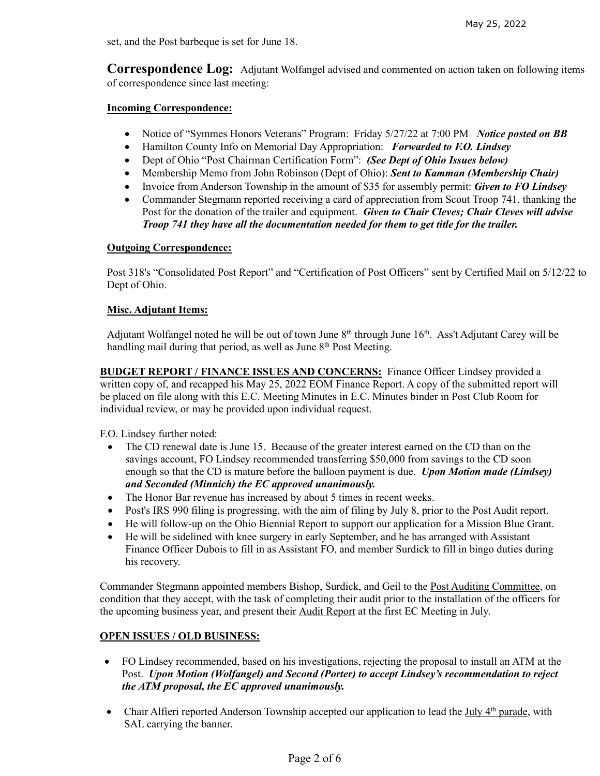set, and the Post barbeque is set for June 18.

**Correspondence Log:** Adjutant Wolfangel advised and commented on action taken on following items of correspondence since last meeting:

### **Incoming Correspondence:**

- Notice of "Symmes Honors Veterans" Program: Friday 5/27/22 at 7:00 PM *Notice posted on BB*
- Hamilton County Info on Memorial Day Appropriation: *Forwarded to F.O. Lindsey*
- Dept of Ohio "Post Chairman Certification Form": *(See Dept of Ohio Issues below)*
- Membership Memo from John Robinson (Dept of Ohio): *Sent to Kamman (Membership Chair)*
- Invoice from Anderson Township in the amount of \$35 for assembly permit: *Given to FO Lindsey*
- Commander Stegmann reported receiving a card of appreciation from Scout Troop 741, thanking the Post for the donation of the trailer and equipment. *Given to Chair Cleves; Chair Cleves will advise Troop 741 they have all the documentation needed for them to get title for the trailer.*

# **Outgoing Correspondence:**

Post 318's "Consolidated Post Report" and "Certification of Post Officers" sent by Certified Mail on 5/12/22 to Dept of Ohio.

# **Misc. Adjutant Items:**

Adjutant Wolfangel noted he will be out of town June 8<sup>th</sup> through June 16<sup>th</sup>. Ass't Adjutant Carey will be handling mail during that period, as well as June  $8<sup>th</sup>$  Post Meeting.

**BUDGET REPORT / FINANCE ISSUES AND CONCERNS:** Finance Officer Lindsey provided a written copy of, and recapped his May 25, 2022 EOM Finance Report. A copy of the submitted report will be placed on file along with this E.C. Meeting Minutes in E.C. Minutes binder in Post Club Room for individual review, or may be provided upon individual request.

F.O. Lindsey further noted:

- The CD renewal date is June 15. Because of the greater interest earned on the CD than on the savings account, FO Lindsey recommended transferring \$50,000 from savings to the CD soon enough so that the CD is mature before the balloon payment is due. *Upon Motion made (Lindsey) and Seconded (Minnich) the EC approved unanimously.*
- The Honor Bar revenue has increased by about 5 times in recent weeks.
- Post's IRS 990 filing is progressing, with the aim of filing by July 8, prior to the Post Audit report.
- He will follow-up on the Ohio Biennial Report to support our application for a Mission Blue Grant.
- He will be sidelined with knee surgery in early September, and he has arranged with Assistant Finance Officer Dubois to fill in as Assistant FO, and member Surdick to fill in bingo duties during his recovery.

Commander Stegmann appointed members Bishop, Surdick, and Geil to the Post Auditing Committee, on condition that they accept, with the task of completing their audit prior to the installation of the officers for the upcoming business year, and present their Audit Report at the first EC Meeting in July.

### **OPEN ISSUES / OLD BUSINESS:**

- FO Lindsey recommended, based on his investigations, rejecting the proposal to install an ATM at the Post. *Upon Motion (Wolfangel) and Second (Porter) to accept Lindsey's recommendation to reject the ATM proposal, the EC approved unanimously.*
- Chair Alfieri reported Anderson Township accepted our application to lead the July  $4<sup>th</sup>$  parade, with SAL carrying the banner.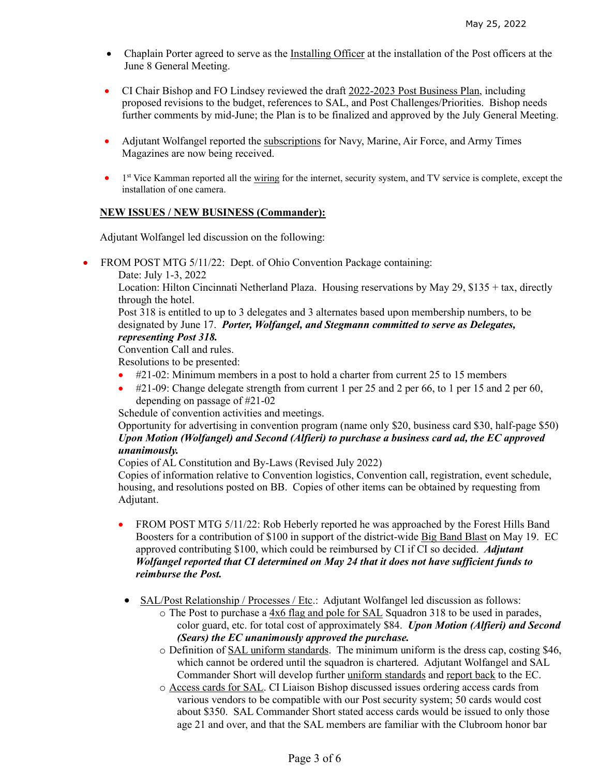- Chaplain Porter agreed to serve as the Installing Officer at the installation of the Post officers at the June 8 General Meeting.
- CI Chair Bishop and FO Lindsey reviewed the draft 2022-2023 Post Business Plan, including proposed revisions to the budget, references to SAL, and Post Challenges/Priorities. Bishop needs further comments by mid-June; the Plan is to be finalized and approved by the July General Meeting.
- Adjutant Wolfangel reported the subscriptions for Navy, Marine, Air Force, and Army Times Magazines are now being received.
- <sup>1st</sup> Vice Kamman reported all the wiring for the internet, security system, and TV service is complete, except the installation of one camera.

#### **NEW ISSUES / NEW BUSINESS (Commander):**

Adjutant Wolfangel led discussion on the following:

- FROM POST MTG 5/11/22: Dept. of Ohio Convention Package containing:
	- Date: July 1-3, 2022

Location: Hilton Cincinnati Netherland Plaza. Housing reservations by May 29, \$135 + tax, directly through the hotel.

Post 318 is entitled to up to 3 delegates and 3 alternates based upon membership numbers, to be designated by June 17. *Porter, Wolfangel, and Stegmann committed to serve as Delegates, representing Post 318.*

Convention Call and rules.

Resolutions to be presented:

- #21-02: Minimum members in a post to hold a charter from current 25 to 15 members
- #21-09: Change delegate strength from current 1 per 25 and 2 per 66, to 1 per 15 and 2 per 60, depending on passage of #21-02

Schedule of convention activities and meetings.

Opportunity for advertising in convention program (name only \$20, business card \$30, half-page \$50) *Upon Motion (Wolfangel) and Second (Alfieri) to purchase a business card ad, the EC approved unanimously.*

Copies of AL Constitution and By-Laws (Revised July 2022)

Copies of information relative to Convention logistics, Convention call, registration, event schedule, housing, and resolutions posted on BB. Copies of other items can be obtained by requesting from Adjutant.

- FROM POST MTG 5/11/22: Rob Heberly reported he was approached by the Forest Hills Band Boosters for a contribution of \$100 in support of the district-wide Big Band Blast on May 19. EC approved contributing \$100, which could be reimbursed by CI if CI so decided. *Adjutant Wolfangel reported that CI determined on May 24 that it does not have sufficient funds to reimburse the Post.*
- SAL/Post Relationship / Processes / Etc.: Adjutant Wolfangel led discussion as follows:
	- o The Post to purchase a 4x6 flag and pole for SAL Squadron 318 to be used in parades, color guard, etc. for total cost of approximately \$84. *Upon Motion (Alfieri) and Second (Sears) the EC unanimously approved the purchase.*
	- $\circ$  Definition of SAL uniform standards. The minimum uniform is the dress cap, costing \$46, which cannot be ordered until the squadron is chartered. Adjutant Wolfangel and SAL Commander Short will develop further uniform standards and report back to the EC.
	- o Access cards for SAL. CI Liaison Bishop discussed issues ordering access cards from various vendors to be compatible with our Post security system; 50 cards would cost about \$350. SAL Commander Short stated access cards would be issued to only those age 21 and over, and that the SAL members are familiar with the Clubroom honor bar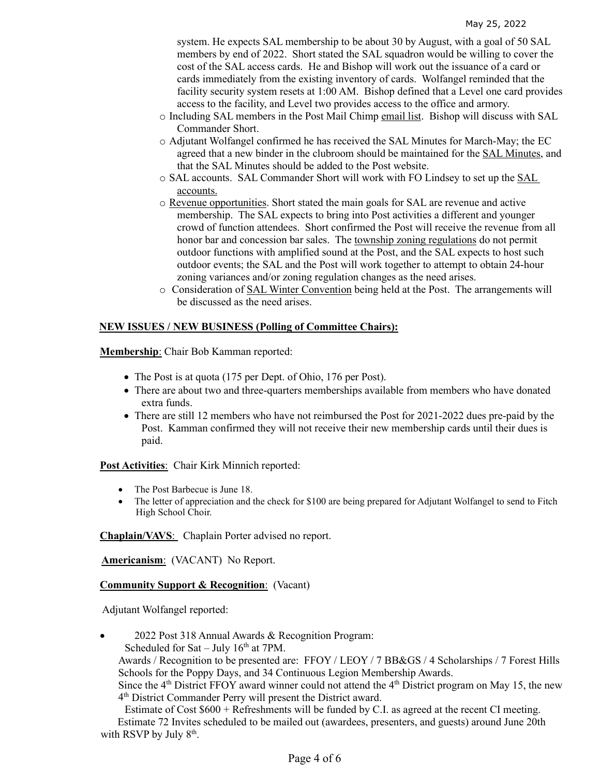system. He expects SAL membership to be about 30 by August, with a goal of 50 SAL members by end of 2022. Short stated the SAL squadron would be willing to cover the cost of the SAL access cards. He and Bishop will work out the issuance of a card or cards immediately from the existing inventory of cards. Wolfangel reminded that the facility security system resets at 1:00 AM. Bishop defined that a Level one card provides access to the facility, and Level two provides access to the office and armory.

- o Including SAL members in the Post Mail Chimp email list. Bishop will discuss with SAL Commander Short.
- o Adjutant Wolfangel confirmed he has received the SAL Minutes for March-May; the EC agreed that a new binder in the clubroom should be maintained for the SAL Minutes, and that the SAL Minutes should be added to the Post website.
- o SAL accounts. SAL Commander Short will work with FO Lindsey to set up the SAL accounts.
- o Revenue opportunities. Short stated the main goals for SAL are revenue and active membership. The SAL expects to bring into Post activities a different and younger crowd of function attendees. Short confirmed the Post will receive the revenue from all honor bar and concession bar sales. The township zoning regulations do not permit outdoor functions with amplified sound at the Post, and the SAL expects to host such outdoor events; the SAL and the Post will work together to attempt to obtain 24-hour zoning variances and/or zoning regulation changes as the need arises.
- o Consideration of SAL Winter Convention being held at the Post. The arrangements will be discussed as the need arises.

### **NEW ISSUES / NEW BUSINESS (Polling of Committee Chairs):**

**Membership**: Chair Bob Kamman reported:

- The Post is at quota (175 per Dept. of Ohio, 176 per Post).
- There are about two and three-quarters memberships available from members who have donated extra funds.
- There are still 12 members who have not reimbursed the Post for 2021-2022 dues pre-paid by the Post. Kamman confirmed they will not receive their new membership cards until their dues is paid.

**Post Activities**: Chair Kirk Minnich reported:

- The Post Barbecue is June 18.
- The letter of appreciation and the check for \$100 are being prepared for Adjutant Wolfangel to send to Fitch High School Choir.

**Chaplain/VAVS**: Chaplain Porter advised no report.

**Americanism**: (VACANT) No Report.

**Community Support & Recognition**: (Vacant)

Adjutant Wolfangel reported:

• 2022 Post 318 Annual Awards & Recognition Program: Scheduled for Sat – July  $16<sup>th</sup>$  at 7PM.

Awards / Recognition to be presented are: FFOY / LEOY / 7 BB&GS / 4 Scholarships / 7 Forest Hills Schools for the Poppy Days, and 34 Continuous Legion Membership Awards.

Since the  $4<sup>th</sup>$  District FFOY award winner could not attend the  $4<sup>th</sup>$  District program on May 15, the new 4th District Commander Perry will present the District award.

 Estimate of Cost \$600 + Refreshments will be funded by C.I. as agreed at the recent CI meeting. Estimate 72 Invites scheduled to be mailed out (awardees, presenters, and guests) around June 20th with RSVP by July  $8<sup>th</sup>$ .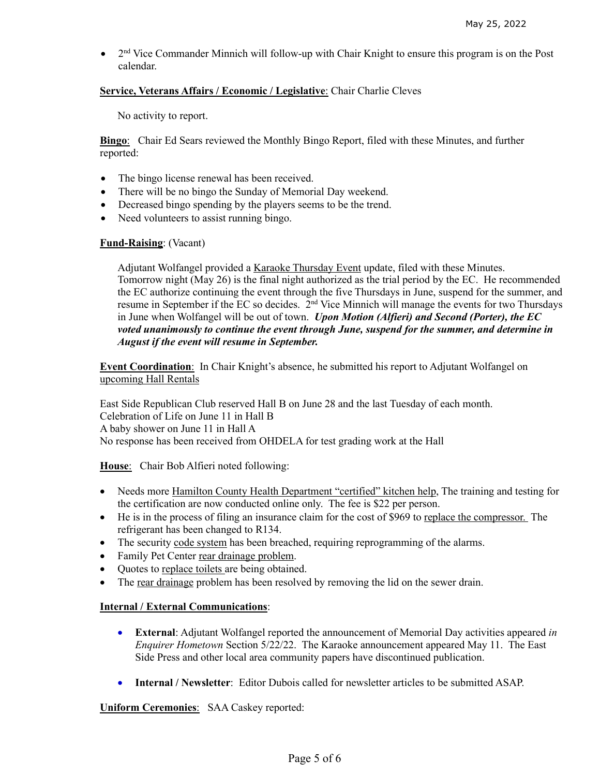2<sup>nd</sup> Vice Commander Minnich will follow-up with Chair Knight to ensure this program is on the Post calendar.

## **Service, Veterans Affairs / Economic / Legislative**: Chair Charlie Cleves

No activity to report.

**Bingo**: Chair Ed Sears reviewed the Monthly Bingo Report, filed with these Minutes, and further reported:

- The bingo license renewal has been received.
- There will be no bingo the Sunday of Memorial Day weekend.
- Decreased bingo spending by the players seems to be the trend.
- Need volunteers to assist running bingo.

### **Fund-Raising**: (Vacant)

Adjutant Wolfangel provided a Karaoke Thursday Event update, filed with these Minutes. Tomorrow night (May 26) is the final night authorized as the trial period by the EC. He recommended the EC authorize continuing the event through the five Thursdays in June, suspend for the summer, and resume in September if the EC so decides. 2<sup>nd</sup> Vice Minnich will manage the events for two Thursdays in June when Wolfangel will be out of town. *Upon Motion (Alfieri) and Second (Porter), the EC voted unanimously to continue the event through June, suspend for the summer, and determine in August if the event will resume in September.*

**Event Coordination**: In Chair Knight's absence, he submitted his report to Adjutant Wolfangel on upcoming Hall Rentals

East Side Republican Club reserved Hall B on June 28 and the last Tuesday of each month. Celebration of Life on June 11 in Hall B A baby shower on June 11 in Hall A No response has been received from OHDELA for test grading work at the Hall

**House**: Chair Bob Alfieri noted following:

- Needs more Hamilton County Health Department "certified" kitchen help, The training and testing for the certification are now conducted online only. The fee is \$22 per person.
- He is in the process of filing an insurance claim for the cost of \$969 to replace the compressor. The refrigerant has been changed to R134.
- The security code system has been breached, requiring reprogramming of the alarms.
- Family Pet Center rear drainage problem.
- Quotes to replace toilets are being obtained.
- The rear drainage problem has been resolved by removing the lid on the sewer drain.

### **Internal / External Communications**:

- **External**: Adjutant Wolfangel reported the announcement of Memorial Day activities appeared *in Enquirer Hometown* Section 5/22/22. The Karaoke announcement appeared May 11. The East Side Press and other local area community papers have discontinued publication.
- **Internal / Newsletter**: Editor Dubois called for newsletter articles to be submitted ASAP.

**Uniform Ceremonies**: SAA Caskey reported: